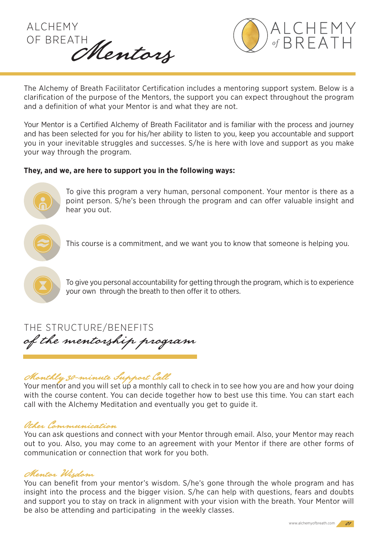



The Alchemy of Breath Facilitator Certification includes a mentoring support system. Below is a clarification of the purpose of the Mentors, the support you can expect throughout the program and a definition of what your Mentor is and what they are not.

Your Mentor is a Certified Alchemy of Breath Facilitator and is familiar with the process and journey and has been selected for you for his/her ability to listen to you, keep you accountable and support you in your inevitable struggles and successes. S/he is here with love and support as you make your way through the program.

#### **They, and we, are here to support you in the following ways:**



To give this program a very human, personal component. Your mentor is there as a point person. S/he's been through the program and can offer valuable insight and hear you out.

This course is a commitment, and we want you to know that someone is helping you.



To give you personal accountability for getting through the program, which is to experience your own through the breath to then offer it to others.

of the mentorship program THE STRUCTURE/BENEFITS

# Monthly 30-minute Support Call

Your mentor and you will set up a monthly call to check in to see how you are and how your doing with the course content. You can decide together how to best use this time. You can start each call with the Alchemy Meditation and eventually you get to guide it.

## Other Communication

You can ask questions and connect with your Mentor through email. Also, your Mentor may reach out to you. Also, you may come to an agreement with your Mentor if there are other forms of communication or connection that work for you both.

## Mentor Wisdom

You can benefit from your mentor's wisdom. S/he's gone through the whole program and has insight into the process and the bigger vision. S/he can help with questions, fears and doubts and support you to stay on track in alignment with your vision with the breath. Your Mentor will be also be attending and participating in the weekly classes.